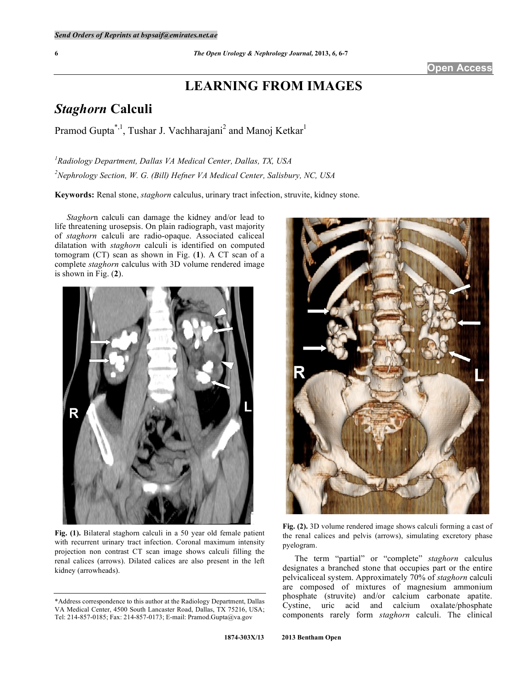## **Open Access**

# **LEARNING FROM IMAGES**

# *Staghorn* **Calculi**

Pramod Gupta<sup>\*, 1</sup>, Tushar J. Vachharajani<sup>2</sup> and Manoj Ketkar<sup>1</sup>

*1 Radiology Department, Dallas VA Medical Center, Dallas, TX, USA 2 Nephrology Section, W. G. (Bill) Hefner VA Medical Center, Salisbury, NC, USA* 

**Keywords:** Renal stone, *staghorn* calculus, urinary tract infection, struvite, kidney stone.

 *Staghor*n calculi can damage the kidney and/or lead to life threatening urosepsis. On plain radiograph, vast majority of *staghorn* calculi are radio-opaque. Associated caliceal dilatation with *staghorn* calculi is identified on computed tomogram (CT) scan as shown in Fig. (**1**). A CT scan of a complete *staghorn* calculus with 3D volume rendered image is shown in Fig. (**2**).



**Fig. (1).** Bilateral staghorn calculi in a 50 year old female patient with recurrent urinary tract infection. Coronal maximum intensity projection non contrast CT scan image shows calculi filling the renal calices (arrows). Dilated calices are also present in the left kidney (arrowheads).



**Fig. (2).** 3D volume rendered image shows calculi forming a cast of the renal calices and pelvis (arrows), simulating excretory phase pyelogram.

 The term "partial" or "complete" *staghorn* calculus designates a branched stone that occupies part or the entire pelvicaliceal system. Approximately 70% of *staghorn* calculi are composed of mixtures of magnesium ammonium phosphate (struvite) and/or calcium carbonate apatite. Cystine, uric acid and calcium oxalate/phosphate components rarely form *staghorn* calculi. The clinical

<sup>\*</sup>Address correspondence to this author at the Radiology Department, Dallas VA Medical Center, 4500 South Lancaster Road, Dallas, TX 75216, USA; Tel: 214-857-0185; Fax: 214-857-0173; E-mail: Pramod.Gupta@va.gov